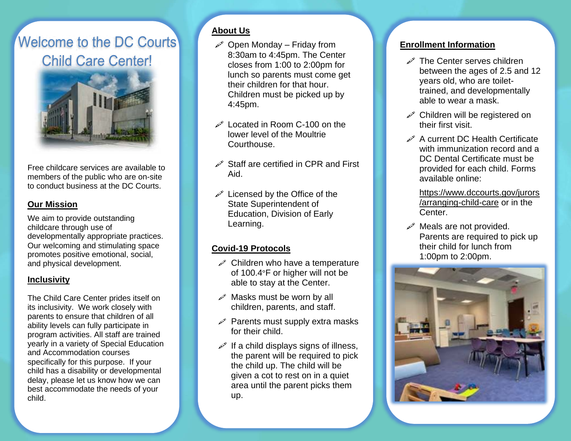# **Welcome to the DC Courts Child Care Center!**



Free childcare services are available to members of the public who are on-site to conduct business at the DC Courts.

### **Our Mission**

We aim to provide outstanding childcare through use of developmentally appropriate practices. Our welcoming and stimulating space promotes positive emotional, social, and physical development.

#### **Inclusivity**

The Child Care Center prides itself on its inclusivity. We work closely with parents to ensure that children of all ability levels can fully participate in program activities. All staff are trained yearly in a variety of Special Education and Accommodation courses specifically for this purpose. If your child has a disability or developmental delay, please let us know how we can best accommodate the needs of your child.

## **About Us**

- $\mathscr{P}$  Open Monday Friday from 8:30am to 4:45pm. The Center closes from 1:00 to 2:00pm for lunch so parents must come get their children for that hour. Children must be picked up by 4:45pm.
- $\mathscr{D}$  Located in Room C-100 on the lower level of the Moultrie Courthouse.
- $\mathscr S$  Staff are certified in CPR and First Aid.
- $\mathscr{P}$  Licensed by the Office of the State Superintendent of Education, Division of Early Learning.

#### **Covid-19 Protocols**

- $\mathscr P$  Children who have a temperature of 100.4°F or higher will not be able to stay at the Center.
- $\mathscr{P}$  Masks must be worn by all children, parents, and staff.
- $\mathscr{P}$  Parents must supply extra masks for their child.
- $\mathscr{P}$  If a child displays signs of illness, the parent will be required to pick the child up. The child will be given a cot to rest on in a quiet area until the parent picks them up.

#### **Enrollment Information**

- $\mathscr{P}$  The Center serves children between the ages of 2.5 and 12 years old, who are toilettrained, and developmentally able to wear a mask.
- $\mathscr{P}$  Children will be registered on their first visit.
- $\mathscr{P}$  A current DC Health Certificate with immunization record and a DC Dental Certificate must be provided for each child. Forms available online:
	- https://www.dccourts.gov/jurors /arranging-child-care or in the Center.
- $\mathscr{P}$  Meals are not provided. Parents are required to pick up their child for lunch from 1:00pm to 2:00pm.